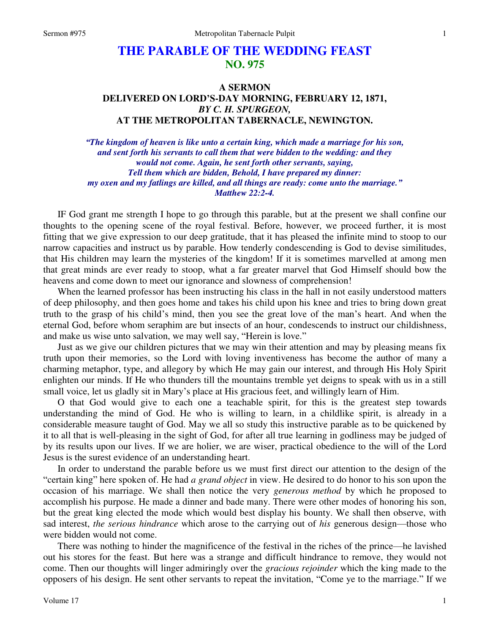## **THE PARABLE OF THE WEDDING FEAST NO. 975**

## **A SERMON DELIVERED ON LORD'S-DAY MORNING, FEBRUARY 12, 1871,**  *BY C. H. SPURGEON,*  **AT THE METROPOLITAN TABERNACLE, NEWINGTON.**

*"The kingdom of heaven is like unto a certain king, which made a marriage for his son, and sent forth his servants to call them that were bidden to the wedding: and they would not come. Again, he sent forth other servants, saying, Tell them which are bidden, Behold, I have prepared my dinner: my oxen and my fatlings are killed, and all things are ready: come unto the marriage." Matthew 22:2-4.* 

IF God grant me strength I hope to go through this parable, but at the present we shall confine our thoughts to the opening scene of the royal festival. Before, however, we proceed further, it is most fitting that we give expression to our deep gratitude, that it has pleased the infinite mind to stoop to our narrow capacities and instruct us by parable. How tenderly condescending is God to devise similitudes, that His children may learn the mysteries of the kingdom! If it is sometimes marvelled at among men that great minds are ever ready to stoop, what a far greater marvel that God Himself should bow the heavens and come down to meet our ignorance and slowness of comprehension!

When the learned professor has been instructing his class in the hall in not easily understood matters of deep philosophy, and then goes home and takes his child upon his knee and tries to bring down great truth to the grasp of his child's mind, then you see the great love of the man's heart. And when the eternal God, before whom seraphim are but insects of an hour, condescends to instruct our childishness, and make us wise unto salvation, we may well say, "Herein is love."

Just as we give our children pictures that we may win their attention and may by pleasing means fix truth upon their memories, so the Lord with loving inventiveness has become the author of many a charming metaphor, type, and allegory by which He may gain our interest, and through His Holy Spirit enlighten our minds. If He who thunders till the mountains tremble yet deigns to speak with us in a still small voice, let us gladly sit in Mary's place at His gracious feet, and willingly learn of Him.

O that God would give to each one a teachable spirit, for this is the greatest step towards understanding the mind of God. He who is willing to learn, in a childlike spirit, is already in a considerable measure taught of God. May we all so study this instructive parable as to be quickened by it to all that is well-pleasing in the sight of God, for after all true learning in godliness may be judged of by its results upon our lives. If we are holier, we are wiser, practical obedience to the will of the Lord Jesus is the surest evidence of an understanding heart.

In order to understand the parable before us we must first direct our attention to the design of the "certain king" here spoken of. He had *a grand object* in view. He desired to do honor to his son upon the occasion of his marriage. We shall then notice the very *generous method* by which he proposed to accomplish his purpose. He made a dinner and bade many. There were other modes of honoring his son, but the great king elected the mode which would best display his bounty. We shall then observe, with sad interest, *the serious hindrance* which arose to the carrying out of *his* generous design—those who were bidden would not come.

There was nothing to hinder the magnificence of the festival in the riches of the prince—he lavished out his stores for the feast. But here was a strange and difficult hindrance to remove, they would not come. Then our thoughts will linger admiringly over the *gracious rejoinder* which the king made to the opposers of his design. He sent other servants to repeat the invitation, "Come ye to the marriage." If we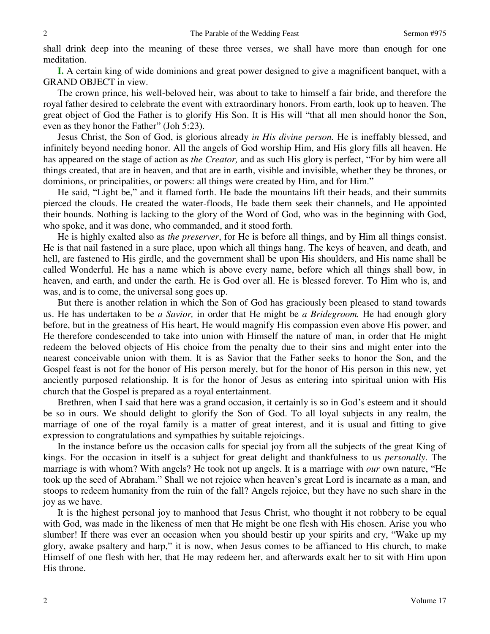shall drink deep into the meaning of these three verses, we shall have more than enough for one meditation.

**I.** A certain king of wide dominions and great power designed to give a magnificent banquet, with a GRAND OBJECT in view.

The crown prince, his well-beloved heir, was about to take to himself a fair bride, and therefore the royal father desired to celebrate the event with extraordinary honors. From earth, look up to heaven. The great object of God the Father is to glorify His Son. It is His will "that all men should honor the Son, even as they honor the Father" (Joh 5:23).

Jesus Christ, the Son of God, is glorious already *in His divine person.* He is ineffably blessed, and infinitely beyond needing honor. All the angels of God worship Him, and His glory fills all heaven. He has appeared on the stage of action as *the Creator,* and as such His glory is perfect, "For by him were all things created, that are in heaven, and that are in earth, visible and invisible, whether they be thrones, or dominions, or principalities, or powers: all things were created by Him, and for Him."

He said, "Light be," and it flamed forth. He bade the mountains lift their heads, and their summits pierced the clouds. He created the water-floods, He bade them seek their channels, and He appointed their bounds. Nothing is lacking to the glory of the Word of God, who was in the beginning with God, who spoke, and it was done, who commanded, and it stood forth.

He is highly exalted also as *the preserver*, for He is before all things, and by Him all things consist. He is that nail fastened in a sure place, upon which all things hang. The keys of heaven, and death, and hell, are fastened to His girdle, and the government shall be upon His shoulders, and His name shall be called Wonderful. He has a name which is above every name, before which all things shall bow, in heaven, and earth, and under the earth. He is God over all. He is blessed forever. To Him who is, and was, and is to come, the universal song goes up.

But there is another relation in which the Son of God has graciously been pleased to stand towards us. He has undertaken to be *a Savior,* in order that He might be *a Bridegroom.* He had enough glory before, but in the greatness of His heart, He would magnify His compassion even above His power, and He therefore condescended to take into union with Himself the nature of man, in order that He might redeem the beloved objects of His choice from the penalty due to their sins and might enter into the nearest conceivable union with them. It is as Savior that the Father seeks to honor the Son, and the Gospel feast is not for the honor of His person merely, but for the honor of His person in this new, yet anciently purposed relationship. It is for the honor of Jesus as entering into spiritual union with His church that the Gospel is prepared as a royal entertainment.

Brethren, when I said that here was a grand occasion, it certainly is so in God's esteem and it should be so in ours. We should delight to glorify the Son of God. To all loyal subjects in any realm, the marriage of one of the royal family is a matter of great interest, and it is usual and fitting to give expression to congratulations and sympathies by suitable rejoicings.

In the instance before us the occasion calls for special joy from all the subjects of the great King of kings. For the occasion in itself is a subject for great delight and thankfulness to us *personally*. The marriage is with whom? With angels? He took not up angels. It is a marriage with *our* own nature, "He took up the seed of Abraham." Shall we not rejoice when heaven's great Lord is incarnate as a man, and stoops to redeem humanity from the ruin of the fall? Angels rejoice, but they have no such share in the joy as we have.

It is the highest personal joy to manhood that Jesus Christ, who thought it not robbery to be equal with God, was made in the likeness of men that He might be one flesh with His chosen. Arise you who slumber! If there was ever an occasion when you should bestir up your spirits and cry, "Wake up my glory, awake psaltery and harp," it is now, when Jesus comes to be affianced to His church, to make Himself of one flesh with her, that He may redeem her, and afterwards exalt her to sit with Him upon His throne.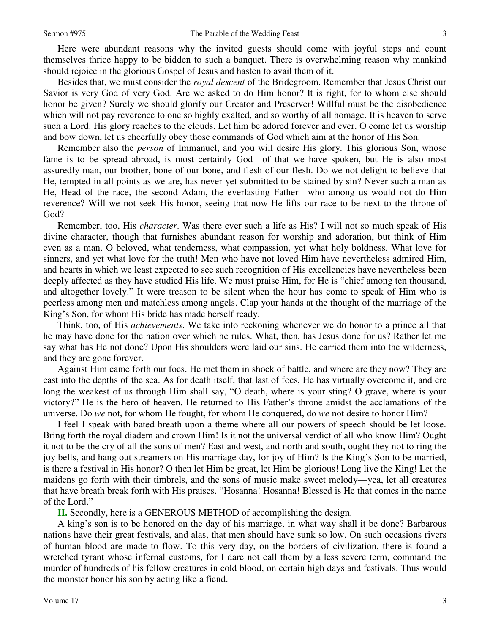Here were abundant reasons why the invited guests should come with joyful steps and count themselves thrice happy to be bidden to such a banquet. There is overwhelming reason why mankind should rejoice in the glorious Gospel of Jesus and hasten to avail them of it.

Besides that, we must consider the *royal descent* of the Bridegroom. Remember that Jesus Christ our Savior is very God of very God. Are we asked to do Him honor? It is right, for to whom else should honor be given? Surely we should glorify our Creator and Preserver! Willful must be the disobedience which will not pay reverence to one so highly exalted, and so worthy of all homage. It is heaven to serve such a Lord. His glory reaches to the clouds. Let him be adored forever and ever. O come let us worship and bow down, let us cheerfully obey those commands of God which aim at the honor of His Son.

Remember also the *person* of Immanuel, and you will desire His glory. This glorious Son, whose fame is to be spread abroad, is most certainly God—of that we have spoken, but He is also most assuredly man, our brother, bone of our bone, and flesh of our flesh. Do we not delight to believe that He, tempted in all points as we are, has never yet submitted to be stained by sin? Never such a man as He, Head of the race, the second Adam, the everlasting Father—who among us would not do Him reverence? Will we not seek His honor, seeing that now He lifts our race to be next to the throne of God?

Remember, too, His *character*. Was there ever such a life as His? I will not so much speak of His divine character, though that furnishes abundant reason for worship and adoration, but think of Him even as a man. O beloved, what tenderness, what compassion, yet what holy boldness. What love for sinners, and yet what love for the truth! Men who have not loved Him have nevertheless admired Him, and hearts in which we least expected to see such recognition of His excellencies have nevertheless been deeply affected as they have studied His life. We must praise Him, for He is "chief among ten thousand, and altogether lovely." It were treason to be silent when the hour has come to speak of Him who is peerless among men and matchless among angels. Clap your hands at the thought of the marriage of the King's Son, for whom His bride has made herself ready.

Think, too, of His *achievements*. We take into reckoning whenever we do honor to a prince all that he may have done for the nation over which he rules. What, then, has Jesus done for us? Rather let me say what has He not done? Upon His shoulders were laid our sins. He carried them into the wilderness, and they are gone forever.

Against Him came forth our foes. He met them in shock of battle, and where are they now? They are cast into the depths of the sea. As for death itself, that last of foes, He has virtually overcome it, and ere long the weakest of us through Him shall say, "O death, where is your sting? O grave, where is your victory?" He is the hero of heaven. He returned to His Father's throne amidst the acclamations of the universe. Do *we* not, for whom He fought, for whom He conquered, do *we* not desire to honor Him?

I feel I speak with bated breath upon a theme where all our powers of speech should be let loose. Bring forth the royal diadem and crown Him! Is it not the universal verdict of all who know Him? Ought it not to be the cry of all the sons of men? East and west, and north and south, ought they not to ring the joy bells, and hang out streamers on His marriage day, for joy of Him? Is the King's Son to be married, is there a festival in His honor? O then let Him be great, let Him be glorious! Long live the King! Let the maidens go forth with their timbrels, and the sons of music make sweet melody—yea, let all creatures that have breath break forth with His praises. "Hosanna! Hosanna! Blessed is He that comes in the name of the Lord."

**II.** Secondly, here is a GENEROUS METHOD of accomplishing the design.

A king's son is to be honored on the day of his marriage, in what way shall it be done? Barbarous nations have their great festivals, and alas, that men should have sunk so low. On such occasions rivers of human blood are made to flow. To this very day, on the borders of civilization, there is found a wretched tyrant whose infernal customs, for I dare not call them by a less severe term, command the murder of hundreds of his fellow creatures in cold blood, on certain high days and festivals. Thus would the monster honor his son by acting like a fiend.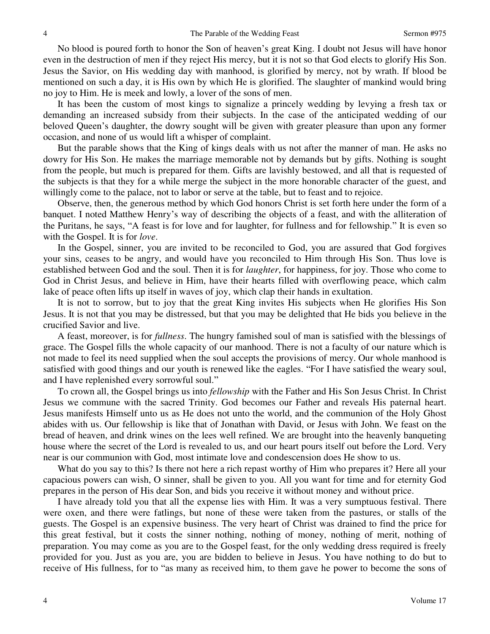No blood is poured forth to honor the Son of heaven's great King. I doubt not Jesus will have honor even in the destruction of men if they reject His mercy, but it is not so that God elects to glorify His Son. Jesus the Savior, on His wedding day with manhood, is glorified by mercy, not by wrath. If blood be mentioned on such a day, it is His own by which He is glorified. The slaughter of mankind would bring no joy to Him. He is meek and lowly, a lover of the sons of men.

It has been the custom of most kings to signalize a princely wedding by levying a fresh tax or demanding an increased subsidy from their subjects. In the case of the anticipated wedding of our beloved Queen's daughter, the dowry sought will be given with greater pleasure than upon any former occasion, and none of us would lift a whisper of complaint.

But the parable shows that the King of kings deals with us not after the manner of man. He asks no dowry for His Son. He makes the marriage memorable not by demands but by gifts. Nothing is sought from the people, but much is prepared for them. Gifts are lavishly bestowed, and all that is requested of the subjects is that they for a while merge the subject in the more honorable character of the guest, and willingly come to the palace, not to labor or serve at the table, but to feast and to rejoice.

Observe, then, the generous method by which God honors Christ is set forth here under the form of a banquet. I noted Matthew Henry's way of describing the objects of a feast, and with the alliteration of the Puritans, he says, "A feast is for love and for laughter, for fullness and for fellowship." It is even so with the Gospel. It is for *love*.

In the Gospel, sinner, you are invited to be reconciled to God, you are assured that God forgives your sins, ceases to be angry, and would have you reconciled to Him through His Son. Thus love is established between God and the soul. Then it is for *laughter*, for happiness, for joy. Those who come to God in Christ Jesus, and believe in Him, have their hearts filled with overflowing peace, which calm lake of peace often lifts up itself in waves of joy, which clap their hands in exultation.

It is not to sorrow, but to joy that the great King invites His subjects when He glorifies His Son Jesus. It is not that you may be distressed, but that you may be delighted that He bids you believe in the crucified Savior and live.

A feast, moreover, is for *fullness*. The hungry famished soul of man is satisfied with the blessings of grace. The Gospel fills the whole capacity of our manhood. There is not a faculty of our nature which is not made to feel its need supplied when the soul accepts the provisions of mercy. Our whole manhood is satisfied with good things and our youth is renewed like the eagles. "For I have satisfied the weary soul, and I have replenished every sorrowful soul."

To crown all, the Gospel brings us into *fellowship* with the Father and His Son Jesus Christ. In Christ Jesus we commune with the sacred Trinity. God becomes our Father and reveals His paternal heart. Jesus manifests Himself unto us as He does not unto the world, and the communion of the Holy Ghost abides with us. Our fellowship is like that of Jonathan with David, or Jesus with John. We feast on the bread of heaven, and drink wines on the lees well refined. We are brought into the heavenly banqueting house where the secret of the Lord is revealed to us, and our heart pours itself out before the Lord. Very near is our communion with God, most intimate love and condescension does He show to us.

What do you say to this? Is there not here a rich repast worthy of Him who prepares it? Here all your capacious powers can wish, O sinner, shall be given to you. All you want for time and for eternity God prepares in the person of His dear Son, and bids you receive it without money and without price.

I have already told you that all the expense lies with Him. It was a very sumptuous festival. There were oxen, and there were fatlings, but none of these were taken from the pastures, or stalls of the guests. The Gospel is an expensive business. The very heart of Christ was drained to find the price for this great festival, but it costs the sinner nothing, nothing of money, nothing of merit, nothing of preparation. You may come as you are to the Gospel feast, for the only wedding dress required is freely provided for you. Just as you are, you are bidden to believe in Jesus. You have nothing to do but to receive of His fullness, for to "as many as received him, to them gave he power to become the sons of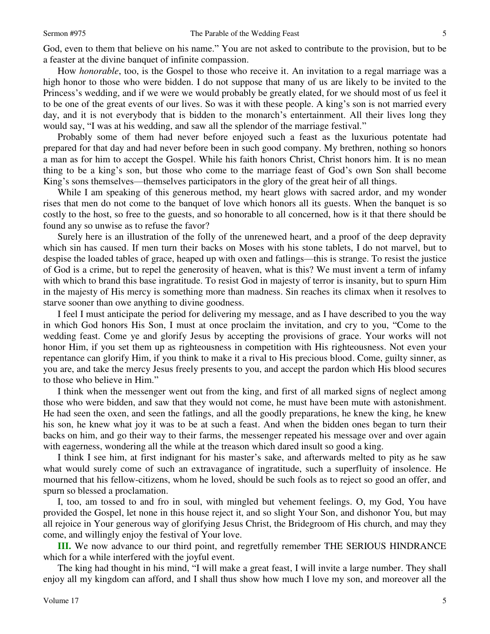How *honorable*, too, is the Gospel to those who receive it. An invitation to a regal marriage was a high honor to those who were bidden. I do not suppose that many of us are likely to be invited to the Princess's wedding, and if we were we would probably be greatly elated, for we should most of us feel it to be one of the great events of our lives. So was it with these people. A king's son is not married every day, and it is not everybody that is bidden to the monarch's entertainment. All their lives long they would say, "I was at his wedding, and saw all the splendor of the marriage festival."

Probably some of them had never before enjoyed such a feast as the luxurious potentate had prepared for that day and had never before been in such good company. My brethren, nothing so honors a man as for him to accept the Gospel. While his faith honors Christ, Christ honors him. It is no mean thing to be a king's son, but those who come to the marriage feast of God's own Son shall become King's sons themselves—themselves participators in the glory of the great heir of all things.

While I am speaking of this generous method, my heart glows with sacred ardor, and my wonder rises that men do not come to the banquet of love which honors all its guests. When the banquet is so costly to the host, so free to the guests, and so honorable to all concerned, how is it that there should be found any so unwise as to refuse the favor?

Surely here is an illustration of the folly of the unrenewed heart, and a proof of the deep depravity which sin has caused. If men turn their backs on Moses with his stone tablets, I do not marvel, but to despise the loaded tables of grace, heaped up with oxen and fatlings—this is strange. To resist the justice of God is a crime, but to repel the generosity of heaven, what is this? We must invent a term of infamy with which to brand this base ingratitude. To resist God in majesty of terror is insanity, but to spurn Him in the majesty of His mercy is something more than madness. Sin reaches its climax when it resolves to starve sooner than owe anything to divine goodness.

I feel I must anticipate the period for delivering my message, and as I have described to you the way in which God honors His Son, I must at once proclaim the invitation, and cry to you, "Come to the wedding feast. Come ye and glorify Jesus by accepting the provisions of grace. Your works will not honor Him, if you set them up as righteousness in competition with His righteousness. Not even your repentance can glorify Him, if you think to make it a rival to His precious blood. Come, guilty sinner, as you are, and take the mercy Jesus freely presents to you, and accept the pardon which His blood secures to those who believe in Him."

I think when the messenger went out from the king, and first of all marked signs of neglect among those who were bidden, and saw that they would not come, he must have been mute with astonishment. He had seen the oxen, and seen the fatlings, and all the goodly preparations, he knew the king, he knew his son, he knew what joy it was to be at such a feast. And when the bidden ones began to turn their backs on him, and go their way to their farms, the messenger repeated his message over and over again with eagerness, wondering all the while at the treason which dared insult so good a king.

I think I see him, at first indignant for his master's sake, and afterwards melted to pity as he saw what would surely come of such an extravagance of ingratitude, such a superfluity of insolence. He mourned that his fellow-citizens, whom he loved, should be such fools as to reject so good an offer, and spurn so blessed a proclamation.

I, too, am tossed to and fro in soul, with mingled but vehement feelings. O, my God, You have provided the Gospel, let none in this house reject it, and so slight Your Son, and dishonor You, but may all rejoice in Your generous way of glorifying Jesus Christ, the Bridegroom of His church, and may they come, and willingly enjoy the festival of Your love.

**III.** We now advance to our third point, and regretfully remember THE SERIOUS HINDRANCE which for a while interfered with the joyful event.

The king had thought in his mind, "I will make a great feast, I will invite a large number. They shall enjoy all my kingdom can afford, and I shall thus show how much I love my son, and moreover all the

5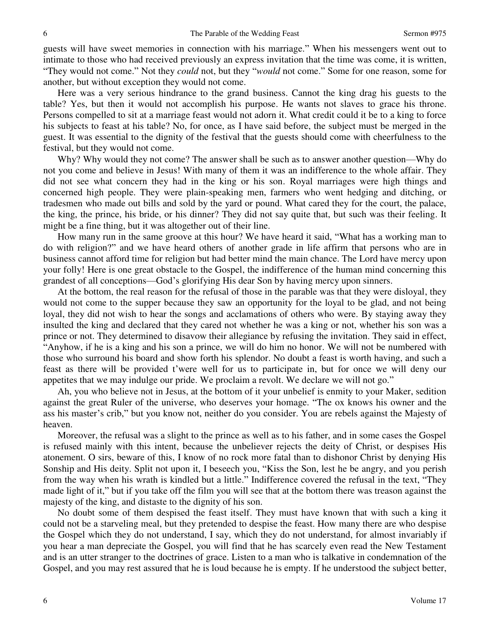guests will have sweet memories in connection with his marriage." When his messengers went out to intimate to those who had received previously an express invitation that the time was come, it is written, "They would not come." Not they *could* not, but they "*would* not come." Some for one reason, some for another, but without exception they would not come.

Here was a very serious hindrance to the grand business. Cannot the king drag his guests to the table? Yes, but then it would not accomplish his purpose. He wants not slaves to grace his throne. Persons compelled to sit at a marriage feast would not adorn it. What credit could it be to a king to force his subjects to feast at his table? No, for once, as I have said before, the subject must be merged in the guest. It was essential to the dignity of the festival that the guests should come with cheerfulness to the festival, but they would not come.

Why? Why would they not come? The answer shall be such as to answer another question—Why do not you come and believe in Jesus! With many of them it was an indifference to the whole affair. They did not see what concern they had in the king or his son. Royal marriages were high things and concerned high people. They were plain-speaking men, farmers who went hedging and ditching, or tradesmen who made out bills and sold by the yard or pound. What cared they for the court, the palace, the king, the prince, his bride, or his dinner? They did not say quite that, but such was their feeling. It might be a fine thing, but it was altogether out of their line.

How many run in the same groove at this hour? We have heard it said, "What has a working man to do with religion?" and we have heard others of another grade in life affirm that persons who are in business cannot afford time for religion but had better mind the main chance. The Lord have mercy upon your folly! Here is one great obstacle to the Gospel, the indifference of the human mind concerning this grandest of all conceptions—God's glorifying His dear Son by having mercy upon sinners.

At the bottom, the real reason for the refusal of those in the parable was that they were disloyal, they would not come to the supper because they saw an opportunity for the loyal to be glad, and not being loyal, they did not wish to hear the songs and acclamations of others who were. By staying away they insulted the king and declared that they cared not whether he was a king or not, whether his son was a prince or not. They determined to disavow their allegiance by refusing the invitation. They said in effect, "Anyhow, if he is a king and his son a prince, we will do him no honor. We will not be numbered with those who surround his board and show forth his splendor. No doubt a feast is worth having, and such a feast as there will be provided t'were well for us to participate in, but for once we will deny our appetites that we may indulge our pride. We proclaim a revolt. We declare we will not go."

Ah, you who believe not in Jesus, at the bottom of it your unbelief is enmity to your Maker, sedition against the great Ruler of the universe, who deserves your homage. "The ox knows his owner and the ass his master's crib," but you know not, neither do you consider. You are rebels against the Majesty of heaven.

Moreover, the refusal was a slight to the prince as well as to his father, and in some cases the Gospel is refused mainly with this intent, because the unbeliever rejects the deity of Christ, or despises His atonement. O sirs, beware of this, I know of no rock more fatal than to dishonor Christ by denying His Sonship and His deity. Split not upon it, I beseech you, "Kiss the Son, lest he be angry, and you perish from the way when his wrath is kindled but a little." Indifference covered the refusal in the text, "They made light of it," but if you take off the film you will see that at the bottom there was treason against the majesty of the king, and distaste to the dignity of his son.

No doubt some of them despised the feast itself. They must have known that with such a king it could not be a starveling meal, but they pretended to despise the feast. How many there are who despise the Gospel which they do not understand, I say, which they do not understand, for almost invariably if you hear a man depreciate the Gospel, you will find that he has scarcely even read the New Testament and is an utter stranger to the doctrines of grace. Listen to a man who is talkative in condemnation of the Gospel, and you may rest assured that he is loud because he is empty. If he understood the subject better,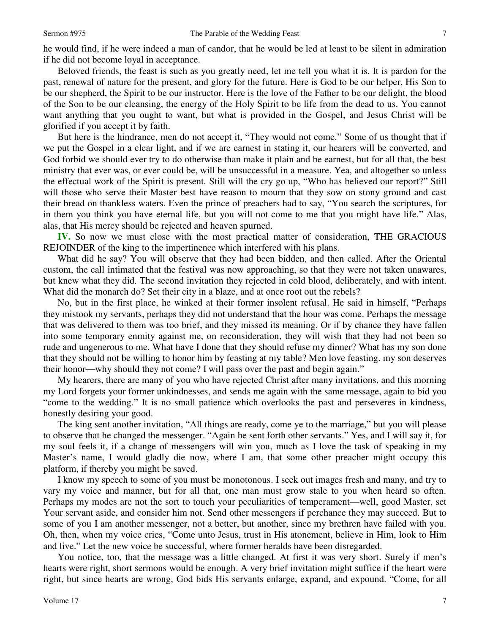he would find, if he were indeed a man of candor, that he would be led at least to be silent in admiration if he did not become loyal in acceptance.

Beloved friends, the feast is such as you greatly need, let me tell you what it is. It is pardon for the past, renewal of nature for the present, and glory for the future. Here is God to be our helper, His Son to be our shepherd, the Spirit to be our instructor. Here is the love of the Father to be our delight, the blood of the Son to be our cleansing, the energy of the Holy Spirit to be life from the dead to us. You cannot want anything that you ought to want, but what is provided in the Gospel, and Jesus Christ will be glorified if you accept it by faith.

But here is the hindrance, men do not accept it, "They would not come." Some of us thought that if we put the Gospel in a clear light, and if we are earnest in stating it, our hearers will be converted, and God forbid we should ever try to do otherwise than make it plain and be earnest, but for all that, the best ministry that ever was, or ever could be, will be unsuccessful in a measure. Yea, and altogether so unless the effectual work of the Spirit is present*.* Still will the cry go up, "Who has believed our report?" Still will those who serve their Master best have reason to mourn that they sow on stony ground and cast their bread on thankless waters. Even the prince of preachers had to say, "You search the scriptures, for in them you think you have eternal life, but you will not come to me that you might have life." Alas, alas, that His mercy should be rejected and heaven spurned.

**IV.** So now we must close with the most practical matter of consideration, THE GRACIOUS REJOINDER of the king to the impertinence which interfered with his plans.

What did he say? You will observe that they had been bidden, and then called. After the Oriental custom, the call intimated that the festival was now approaching, so that they were not taken unawares, but knew what they did. The second invitation they rejected in cold blood, deliberately, and with intent. What did the monarch do? Set their city in a blaze, and at once root out the rebels?

No, but in the first place, he winked at their former insolent refusal. He said in himself, "Perhaps they mistook my servants, perhaps they did not understand that the hour was come. Perhaps the message that was delivered to them was too brief, and they missed its meaning. Or if by chance they have fallen into some temporary enmity against me, on reconsideration, they will wish that they had not been so rude and ungenerous to me. What have I done that they should refuse my dinner? What has my son done that they should not be willing to honor him by feasting at my table? Men love feasting. my son deserves their honor—why should they not come? I will pass over the past and begin again."

My hearers, there are many of you who have rejected Christ after many invitations, and this morning my Lord forgets your former unkindnesses, and sends me again with the same message, again to bid you "come to the wedding." It is no small patience which overlooks the past and perseveres in kindness, honestly desiring your good.

The king sent another invitation, "All things are ready, come ye to the marriage," but you will please to observe that he changed the messenger. "Again he sent forth other servants." Yes, and I will say it, for my soul feels it, if a change of messengers will win you, much as I love the task of speaking in my Master's name, I would gladly die now, where I am, that some other preacher might occupy this platform, if thereby you might be saved.

I know my speech to some of you must be monotonous. I seek out images fresh and many, and try to vary my voice and manner, but for all that, one man must grow stale to you when heard so often. Perhaps my modes are not the sort to touch your peculiarities of temperament—well, good Master, set Your servant aside, and consider him not. Send other messengers if perchance they may succeed. But to some of you I am another messenger, not a better, but another, since my brethren have failed with you. Oh, then, when my voice cries, "Come unto Jesus, trust in His atonement, believe in Him, look to Him and live." Let the new voice be successful, where former heralds have been disregarded.

You notice, too, that the message was a little changed. At first it was very short. Surely if men's hearts were right, short sermons would be enough. A very brief invitation might suffice if the heart were right, but since hearts are wrong, God bids His servants enlarge, expand, and expound. "Come, for all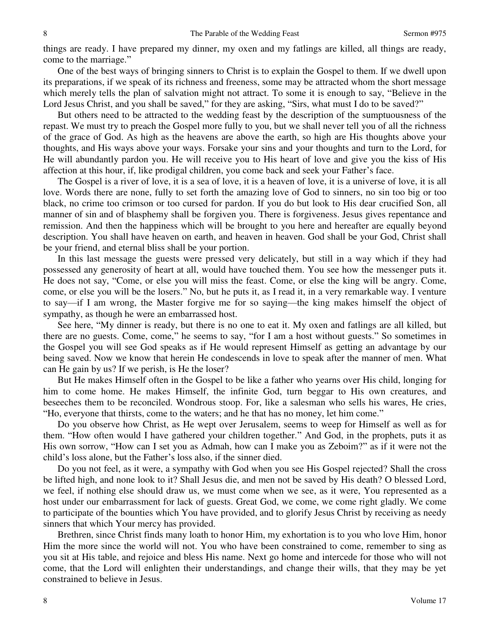things are ready. I have prepared my dinner, my oxen and my fatlings are killed, all things are ready, come to the marriage."

One of the best ways of bringing sinners to Christ is to explain the Gospel to them. If we dwell upon its preparations, if we speak of its richness and freeness, some may be attracted whom the short message which merely tells the plan of salvation might not attract. To some it is enough to say, "Believe in the Lord Jesus Christ, and you shall be saved," for they are asking, "Sirs, what must I do to be saved?"

But others need to be attracted to the wedding feast by the description of the sumptuousness of the repast. We must try to preach the Gospel more fully to you, but we shall never tell you of all the richness of the grace of God. As high as the heavens are above the earth, so high are His thoughts above your thoughts, and His ways above your ways. Forsake your sins and your thoughts and turn to the Lord, for He will abundantly pardon you. He will receive you to His heart of love and give you the kiss of His affection at this hour, if, like prodigal children, you come back and seek your Father's face.

The Gospel is a river of love, it is a sea of love, it is a heaven of love, it is a universe of love, it is all love. Words there are none, fully to set forth the amazing love of God to sinners, no sin too big or too black, no crime too crimson or too cursed for pardon. If you do but look to His dear crucified Son, all manner of sin and of blasphemy shall be forgiven you. There is forgiveness. Jesus gives repentance and remission. And then the happiness which will be brought to you here and hereafter are equally beyond description. You shall have heaven on earth, and heaven in heaven. God shall be your God, Christ shall be your friend, and eternal bliss shall be your portion.

In this last message the guests were pressed very delicately, but still in a way which if they had possessed any generosity of heart at all, would have touched them. You see how the messenger puts it. He does not say, "Come, or else you will miss the feast. Come, or else the king will be angry. Come, come, or else you will be the losers." No, but he puts it, as I read it, in a very remarkable way. I venture to say—if I am wrong, the Master forgive me for so saying—the king makes himself the object of sympathy, as though he were an embarrassed host.

See here, "My dinner is ready, but there is no one to eat it. My oxen and fatlings are all killed, but there are no guests. Come, come," he seems to say, "for I am a host without guests." So sometimes in the Gospel you will see God speaks as if He would represent Himself as getting an advantage by our being saved. Now we know that herein He condescends in love to speak after the manner of men. What can He gain by us? If we perish, is He the loser?

But He makes Himself often in the Gospel to be like a father who yearns over His child, longing for him to come home. He makes Himself, the infinite God, turn beggar to His own creatures, and beseeches them to be reconciled. Wondrous stoop. For, like a salesman who sells his wares, He cries, "Ho, everyone that thirsts, come to the waters; and he that has no money, let him come."

Do you observe how Christ, as He wept over Jerusalem, seems to weep for Himself as well as for them. "How often would I have gathered your children together." And God, in the prophets, puts it as His own sorrow, "How can I set you as Admah, how can I make you as Zeboim?" as if it were not the child's loss alone, but the Father's loss also, if the sinner died.

Do you not feel, as it were, a sympathy with God when you see His Gospel rejected? Shall the cross be lifted high, and none look to it? Shall Jesus die, and men not be saved by His death? O blessed Lord, we feel, if nothing else should draw us, we must come when we see, as it were, You represented as a host under our embarrassment for lack of guests. Great God, we come, we come right gladly. We come to participate of the bounties which You have provided, and to glorify Jesus Christ by receiving as needy sinners that which Your mercy has provided.

Brethren, since Christ finds many loath to honor Him, my exhortation is to you who love Him, honor Him the more since the world will not. You who have been constrained to come, remember to sing as you sit at His table, and rejoice and bless His name. Next go home and intercede for those who will not come, that the Lord will enlighten their understandings, and change their wills, that they may be yet constrained to believe in Jesus.